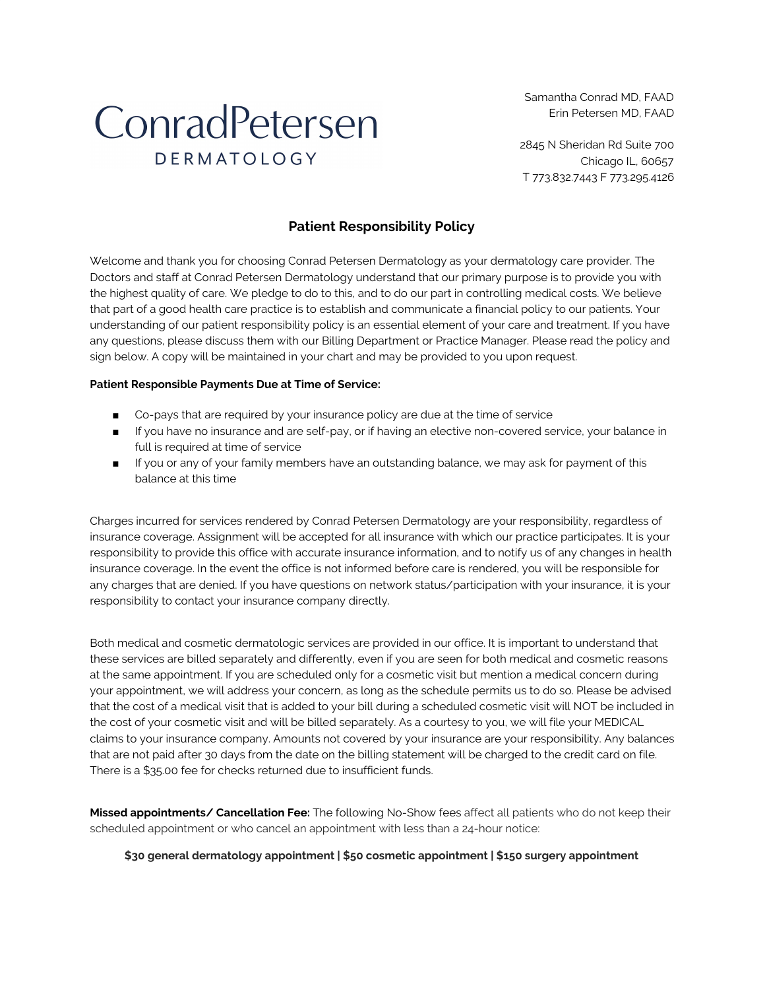Samantha Conrad MD, FAAD Erin Petersen MD, FAAD

## ConradPetersen DERMATOLOGY

2845 N Sheridan Rd Suite 700 Chicago IL, 60657 T 773.832.7443 F 773.295.4126

## **Patient Responsibility Policy**

Welcome and thank you for choosing Conrad Petersen Dermatology as your dermatology care provider. The Doctors and staff at Conrad Petersen Dermatology understand that our primary purpose is to provide you with the highest quality of care. We pledge to do to this, and to do our part in controlling medical costs. We believe that part of a good health care practice is to establish and communicate a financial policy to our patients. Your understanding of our patient responsibility policy is an essential element of your care and treatment. If you have any questions, please discuss them with our Billing Department or Practice Manager. Please read the policy and sign below. A copy will be maintained in your chart and may be provided to you upon request.

## **Patient Responsible Payments Due at Time of Service:**

- Co-pays that are required by your insurance policy are due at the time of service
- If you have no insurance and are self-pay, or if having an elective non-covered service, your balance in full is required at time of service
- If you or any of your family members have an outstanding balance, we may ask for payment of this balance at this time

Charges incurred for services rendered by Conrad Petersen Dermatology are your responsibility, regardless of insurance coverage. Assignment will be accepted for all insurance with which our practice participates. It is your responsibility to provide this office with accurate insurance information, and to notify us of any changes in health insurance coverage. In the event the office is not informed before care is rendered, you will be responsible for any charges that are denied. If you have questions on network status/participation with your insurance, it is your responsibility to contact your insurance company directly.

Both medical and cosmetic dermatologic services are provided in our office. It is important to understand that these services are billed separately and differently, even if you are seen for both medical and cosmetic reasons at the same appointment. If you are scheduled only for a cosmetic visit but mention a medical concern during your appointment, we will address your concern, as long as the schedule permits us to do so. Please be advised that the cost of a medical visit that is added to your bill during a scheduled cosmetic visit will NOT be included in the cost of your cosmetic visit and will be billed separately. As a courtesy to you, we will file your MEDICAL claims to your insurance company. Amounts not covered by your insurance are your responsibility. Any balances that are not paid after 30 days from the date on the billing statement will be charged to the credit card on file. There is a \$35.00 fee for checks returned due to insufficient funds.

**Missed appointments/ Cancellation Fee:** The following No-Show fees affect all patients who do not keep their scheduled appointment or who cancel an appointment with less than a 24-hour notice:

**\$30 general dermatology appointment | \$50 cosmetic appointment | \$150 surgery appointment**